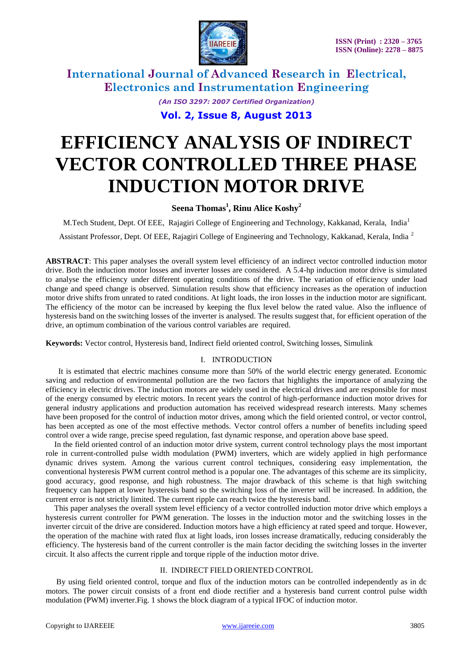

*(An ISO 3297: 2007 Certified Organization)*

**Vol. 2, Issue 8, August 2013**

# **EFFICIENCY ANALYSIS OF INDIRECT VECTOR CONTROLLED THREE PHASE INDUCTION MOTOR DRIVE**

#### **Seena Thomas<sup>1</sup> , Rinu Alice Koshy<sup>2</sup>**

M.Tech Student, Dept. Of EEE, Rajagiri College of Engineering and Technology, Kakkanad, Kerala, India<sup>1</sup>

Assistant Professor, Dept. Of EEE, Rajagiri College of Engineering and Technology, Kakkanad, Kerala, India <sup>2</sup>

**ABSTRACT**: This paper analyses the overall system level efficiency of an indirect vector controlled induction motor drive. Both the induction motor losses and inverter losses are considered. A 5.4-hp induction motor drive is simulated to analyse the efficiency under different operating conditions of the drive. The variation of efficiency under load change and speed change is observed. Simulation results show that efficiency increases as the operation of induction motor drive shifts from unrated to rated conditions. At light loads, the iron losses in the induction motor are significant. The efficiency of the motor can be increased by keeping the flux level below the rated value. Also the influence of hysteresis band on the switching losses of the inverter is analysed. The results suggest that, for efficient operation of the drive, an optimum combination of the various control variables are required.

**Keywords:** Vector control, Hysteresis band, Indirect field oriented control, Switching losses, Simulink

#### I. INTRODUCTION

 It is estimated that electric machines consume more than 50% of the world electric energy generated. Economic saving and reduction of environmental pollution are the two factors that highlights the importance of analyzing the efficiency in electric drives. The induction motors are widely used in the electrical drives and are responsible for most of the energy consumed by electric motors. In recent years the control of high-performance induction motor drives for general industry applications and production automation has received widespread research interests. Many schemes have been proposed for the control of induction motor drives, among which the field oriented control, or vector control, has been accepted as one of the most effective methods. Vector control offers a number of benefits including speed control over a wide range, precise speed regulation, fast dynamic response, and operation above base speed.

In the field oriented control of an induction motor drive system, current control technology plays the most important role in current-controlled pulse width modulation (PWM) inverters, which are widely applied in high performance dynamic drives system. Among the various current control techniques, considering easy implementation, the conventional hysteresis PWM current control method is a popular one. The advantages of this scheme are its simplicity, good accuracy, good response, and high robustness. The major drawback of this scheme is that high switching frequency can happen at lower hysteresis band so the switching loss of the inverter will be increased. In addition, the current error is not strictly limited. The current ripple can reach twice the hysteresis band.

This paper analyses the overall system level efficiency of a vector controlled induction motor drive which employs a hysteresis current controller for PWM generation. The losses in the induction motor and the switching losses in the inverter circuit of the drive are considered. Induction motors have a high efficiency at rated speed and torque. However, the operation of the machine with rated flux at light loads, iron losses increase dramatically, reducing considerably the efficiency. The hysteresis band of the current controller is the main factor deciding the switching losses in the inverter circuit. It also affects the current ripple and torque ripple of the induction motor drive.

#### II. INDIRECT FIELD ORIENTED CONTROL

By using field oriented control, torque and flux of the induction motors can be controlled independently as in dc motors. The power circuit consists of a front end diode rectifier and a hysteresis band current control pulse width modulation (PWM) inverter.Fig. 1 shows the block diagram of a typical IFOC of induction motor.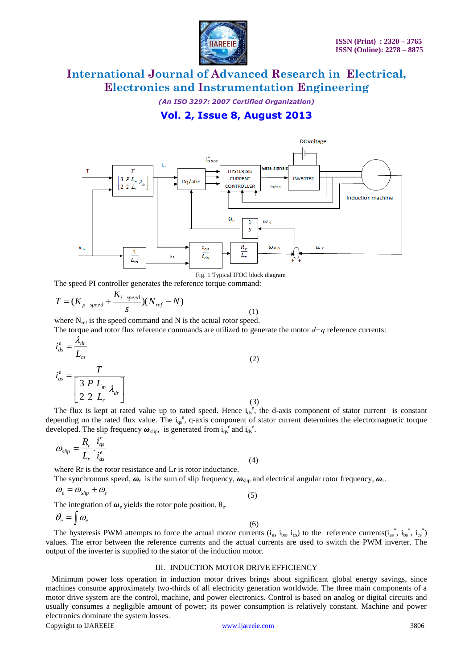

*(An ISO 3297: 2007 Certified Organization)*

### **Vol. 2, Issue 8, August 2013**



Fig. 1 Typical IFOC block diagram

The speed PI controller generates the reference torque command:

$$
T = (K_{p\_speed} + \frac{K_{i\_speed}}{s})(N_{ref} - N)
$$
\n(1)

where  $N_{ref}$  is the speed command and N is the actual rotor speed.

The torque and rotor flux reference commands are utilized to generate the motor *d−q* reference currents: *e dr*  $i_{ds}^e = \frac{\lambda_a}{L}$ 

$$
i_{qs}^{e} = \frac{T}{\left[\frac{3}{2}\frac{P}{L_{r}}\frac{L_{m}}{L_{r}}\lambda_{dr}\right]}
$$
\n(2)

The flux is kept at rated value up to rated speed. Hence  $i_{ds}^e$ , the d-axis component of stator current is constant depending on the rated flux value. The  $i_{qs}^e$ , q-axis component of stator current determines the electromagnetic torque developed. The slip frequency  $\boldsymbol{\omega}_{\text{slip}}$ , is generated from  $i_{qs}^{e}$  and  $i_{ds}^{e}$ .

$$
\omega_{slip} = \frac{R_r}{L_r} \cdot \frac{i_{qs}^e}{i_{ds}^e} \tag{4}
$$

where Rr is the rotor resistance and Lr is rotor inductance.

The synchronous speed,  $\omega_e$  is the sum of slip frequency,  $\omega_{\text{slip}}$  and electrical angular rotor frequency,  $\omega_{\text{r}}$ .

$$
\omega_e = \omega_{\text{slip}} + \omega_r \tag{5}
$$

The integration of  $\boldsymbol{\omega}_{e}$  yields the rotor pole position,  $\theta_{e}$ .

$$
\theta_e = \int \omega_e \tag{6}
$$

The hysteresis PWM attempts to force the actual motor currents  $(i_{as} i_{bs}, i_{cs})$  to the reference currents $(i_{as}^*, i_{bs}^*, i_{cs}^*)$ values. The error between the reference currents and the actual currents are used to switch the PWM inverter. The output of the inverter is supplied to the stator of the induction motor.

#### III. INDUCTION MOTOR DRIVE EFFICIENCY

Minimum power loss operation in induction motor drives brings about significant global energy savings, since machines consume approximately two-thirds of all electricity generation worldwide. The three main components of a motor drive system are the control, machine, and power electronics. Control is based on analog or digital circuits and usually consumes a negligible amount of power; its power consumption is relatively constant. Machine and power electronics dominate the system losses.

Copyright to IJAREEIE [www.ijareeie.com](http://www.ijareeie.com/) 3806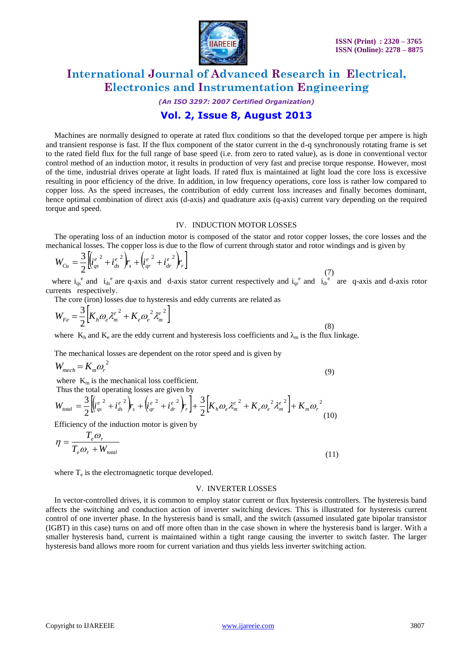

*(An ISO 3297: 2007 Certified Organization)*

### **Vol. 2, Issue 8, August 2013**

Machines are normally designed to operate at rated flux conditions so that the developed torque per ampere is high and transient response is fast. If the flux component of the stator current in the d-q synchronously rotating frame is set to the rated field flux for the full range of base speed (i.e. from zero to rated value), as is done in conventional vector control method of an induction motor, it results in production of very fast and precise torque response. However, most of the time, industrial drives operate at light loads. If rated flux is maintained at light load the core loss is excessive resulting in poor efficiency of the drive. In addition, in low frequency operations, core loss is rather low compared to copper loss. As the speed increases, the contribution of eddy current loss increases and finally becomes dominant, hence optimal combination of direct axis (d-axis) and quadrature axis (q-axis) current vary depending on the required torque and speed.

#### IV. INDUCTION MOTOR LOSSES

The operating loss of an induction motor is composed of the stator and rotor copper losses, the core losses and the mechanical losses. The copper loss is due to the flow of current through stator and rotor windings and is given by

$$
W_{Cu} = \frac{3}{2} \left[ \left( i_{qs}^{e^2} + i_{ds}^{e^2} \right) r_s + \left( i_{qr}^{e^2} + i_{dr}^{e^2} \right) r_r \right]
$$
\n(7)

where  $i_{qs}^e$  and  $i_{ds}^e$  are q-axis and d-axis stator current respectively and  $i_{qr}^e$  and  $i_{dr}^e$  are q-axis and d-axis rotor currents respectively.

The core (iron) losses due to hysteresis and eddy currents are related as

$$
W_{Fe} = \frac{3}{2} \left[ K_h \omega_e \lambda_m^{e^2} + K_e \omega_e^{2} \lambda_m^{e^2} \right]
$$
 (8)

where  $K_h$  and  $K_e$  are the eddy current and hysteresis loss coefficients and  $\lambda_m$  is the flux linkage.

The mechanical losses are dependent on the rotor speed and is given by

$$
W_{mech} = K_m \omega_r^2 \tag{9}
$$

where  $K_m$  is the mechanical loss coefficient.

Thus the total operating losses are given by

$$
W_{total} = \frac{3}{2} \left[ \left( i_{qs}^{e^2} + i_{ds}^{e^2} \right) r_s + \left( i_{qr}^{e^2} + i_{dr}^{e^2} \right) r_r \right] + \frac{3}{2} \left[ K_h \omega_e \lambda_m^{e^2} + K_e \omega_e^2 \lambda_m^{e^2} \right] + K_m \omega_r^2 \tag{10}
$$

Efficiency of the induction motor is given by

$$
\eta = \frac{T_e \omega_r}{T_e \omega_r + W_{total}}
$$
\n(11)

where  $T_e$  is the electromagnetic torque developed.

#### V. INVERTER LOSSES

In vector-controlled drives, it is common to employ stator current or flux hysteresis controllers. The hysteresis band affects the switching and conduction action of inverter switching devices. This is illustrated for hysteresis current control of one inverter phase. In the hysteresis band is small, and the switch (assumed insulated gate bipolar transistor (IGBT) in this case) turns on and off more often than in the case shown in where the hysteresis band is larger. With a smaller hysteresis band, current is maintained within a tight range causing the inverter to switch faster. The larger hysteresis band allows more room for current variation and thus yields less inverter switching action.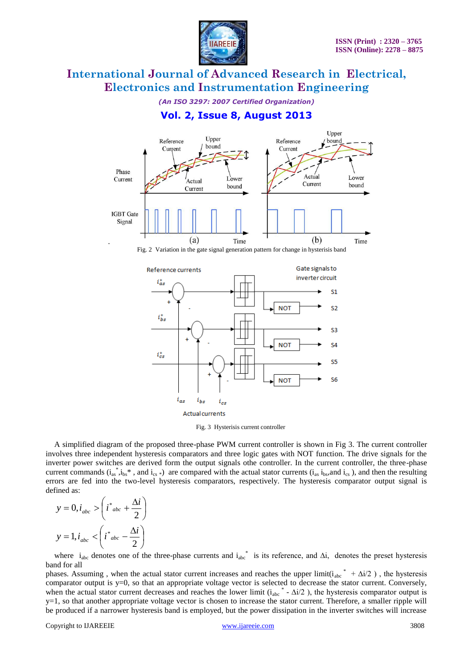

*(An ISO 3297: 2007 Certified Organization)*

**Vol. 2, Issue 8, August 2013**





Fig. 3 Hysterisis current controller

A simplified diagram of the proposed three-phase PWM current controller is shown in Fig 3. The current controller involves three independent hysteresis comparators and three logic gates with NOT function. The drive signals for the inverter power switches are derived form the output signals othe controller. In the current controller, the three-phase current commands  $(i_{as}, i_{bs}^*$ , and  $i_{cs}$ ) are compared with the actual stator currents  $(i_{as}, i_{bs},$  and  $i_{cs}$ ), and then the resulting errors are fed into the two-level hysteresis comparators, respectively. The hysteresis comparator output signal is defined as:

$$
y = 0, i_{abc} > \left(i^*_{abc} + \frac{\Delta i}{2}\right)
$$

$$
y = 1, i_{abc} < \left(i^*_{abc} - \frac{\Delta i}{2}\right)
$$

where  $i_{abc}$  denotes one of the three-phase currents and  $i_{abc}^*$  is its reference, and  $\Delta i$ , denotes the preset hysteresis band for all

phases. Assuming, when the actual stator current increases and reaches the upper  $\text{limit}(i_{abc}^* + \Delta i/2)$ , the hysteresis comparator output is y=0, so that an appropriate voltage vector is selected to decrease the stator current. Conversely, when the actual stator current decreases and reaches the lower limit  $(i_{abc}^* - \Delta i/2)$ , the hysteresis comparator output is y=1, so that another appropriate voltage vector is chosen to increase the stator current. Therefore, a smaller ripple will be produced if a narrower hysteresis band is employed, but the power dissipation in the inverter switches will increase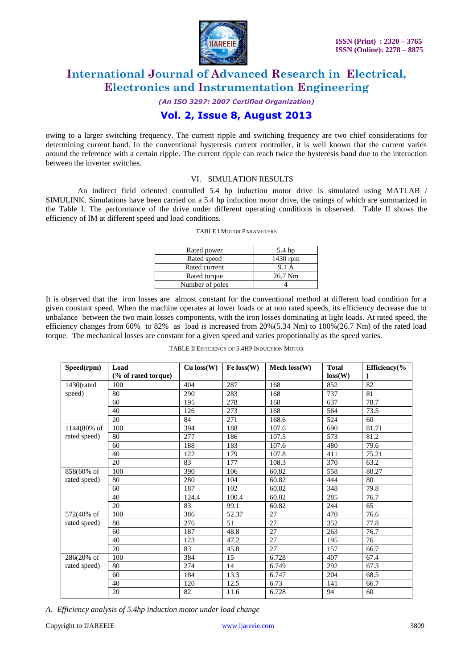

*(An ISO 3297: 2007 Certified Organization)*

### **Vol. 2, Issue 8, August 2013**

owing to a larger switching frequency. The current ripple and switching frequency are two chief considerations for determining current band. In the conventional hysteresis current controller, it is well known that the current varies around the reference with a certain ripple. The current ripple can reach twice the hysteresis band due to the interaction between the inverter switches.

#### VI. SIMULATION RESULTS

 An indirect field oriented controlled 5.4 hp induction motor drive is simulated using MATLAB / SIMULINK. Simulations have been carried on a 5.4 hp induction motor drive, the ratings of which are summarized in the Table I. The performance of the drive under different operating conditions is observed. Table II shows the efficiency of IM at different speed and load conditions.

| Rated power     | 5.4 hp   |
|-----------------|----------|
| Rated speed     | 1430 rpm |
| Rated current   | 9.1 A    |
| Rated torque    | 26.7 Nm  |
| Number of poles |          |
|                 |          |

It is observed that the iron losses are almost constant for the conventional method at different load condition for a given constant speed. When the machine operates at lower loads or at non rated speeds, its efficiency decrease due to unbalance between the two main losses components, with the iron losses dominating at light loads. At rated speed, the efficiency changes from  $60\%$  to  $82\%$  as load is increased from  $20\%(5.34 \text{ Nm})$  to  $100\%(26.7 \text{ Nm})$  of the rated load torque. The mechanical losses are constant for a given speed and varies propotionally as the speed varies.

|  | TABLE II EFFICIENCY OF 5.4HP INDUCTION MOTOR |  |
|--|----------------------------------------------|--|
|  |                                              |  |

| Speed(rpm)    | Load<br>(% of rated torque) | $Cu$ loss $(W)$ | Fe loss(W) | Mech $loss(W)$ | <b>Total</b><br>loss(W) | Efficiency $%$ |
|---------------|-----------------------------|-----------------|------------|----------------|-------------------------|----------------|
|               |                             |                 |            |                |                         |                |
| $1430$ (rated | 100                         | 404             | 287        | 168            | 852                     | 82             |
| speed)        | 80                          | 290             | 283        | 168            | 737                     | 81             |
|               | 60                          | 195             | 278        | 168            | 637                     | 78.7           |
|               | 40                          | 126             | 273        | 168            | 564                     | 73.5           |
|               | 20                          | 84              | 271        | 168.6          | 524                     | 60             |
| 1144(80% of   | 100                         | 394             | 188        | 107.6          | 690                     | 81.71          |
| rated speed)  | 80                          | 277             | 186        | 107.5          | 573                     | 81.2           |
|               | 60                          | 188             | 183        | 107.6          | 480                     | 79.6           |
|               | 40                          | 122             | 179        | 107.8          | 411                     | 75.21          |
|               | 20                          | 83              | 177        | 108.3          | 370                     | 63.2           |
| 858(60% of    | 100                         | 390             | 106        | 60.82          | 558                     | 80.27          |
| rated speed)  | 80                          | 280             | 104        | 60.82          | 444                     | 80             |
|               | 60                          | 187             | 102        | 60.82          | 348                     | 79.8           |
|               | 40                          | 124.4           | 100.4      | 60.82          | 285                     | 76.7           |
|               | 20                          | 83              | 99.1       | 60.82          | 244                     | 65             |
| 572(40% of    | 100                         | 386             | 52.37      | 27             | 470                     | 76.6           |
| rated speed)  | 80                          | 276             | 51         | 27             | 352                     | 77.8           |
|               | 60                          | 187             | 48.8       | 27             | 263                     | 76.7           |
|               | 40                          | 123             | 47.2       | 27             | 195                     | 76             |
|               | 20                          | 83              | 45.8       | 27             | 157                     | 66.7           |
| 286(20% of    | 100                         | 384             | 15         | 6.728          | 407                     | 67.4           |
| rated speed)  | 80                          | 274             | 14         | 6.749          | 292                     | 67.3           |
|               | 60                          | 184             | 13.3       | 6.747          | 204                     | 68.5           |
|               | 40                          | 120             | 12.5       | 6.73           | 141                     | 66.7           |
|               | 20                          | 82              | 11.6       | 6.728          | 94                      | 60             |

*A. Efficiency analysis of 5.4hp induction motor under load change*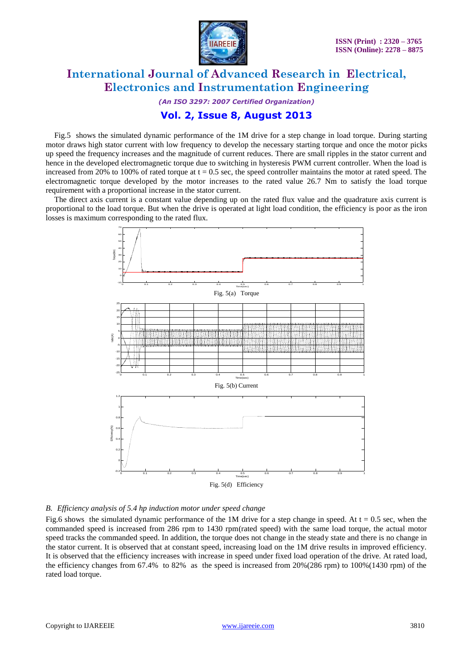

*(An ISO 3297: 2007 Certified Organization)*

#### **Vol. 2, Issue 8, August 2013**

Fig.5 shows the simulated dynamic performance of the 1M drive for a step change in load torque. During starting motor draws high stator current with low frequency to develop the necessary starting torque and once the motor picks up speed the frequency increases and the magnitude of current reduces. There are small ripples in the stator current and hence in the developed electromagnetic torque due to switching in hysteresis PWM current controller. When the load is increased from 20% to 100% of rated torque at  $t = 0.5$  sec, the speed controller maintains the motor at rated speed. The electromagnetic torque developed by the motor increases to the rated value 26.7 Nm to satisfy the load torque requirement with a proportional increase in the stator current.

The direct axis current is a constant value depending up on the rated flux value and the quadrature axis current is proportional to the load torque. But when the drive is operated at light load condition, the efficiency is poor as the iron losses is maximum corresponding to the rated flux.



#### *B. Efficiency analysis of 5.4 hp induction motor under speed change*

Fig.6 shows the simulated dynamic performance of the 1M drive for a step change in speed. At  $t = 0.5$  sec, when the commanded speed is increased from 286 rpm to 1430 rpm(rated speed) with the same load torque, the actual motor speed tracks the commanded speed. In addition, the torque does not change in the steady state and there is no change in the stator current. It is observed that at constant speed, increasing load on the 1M drive results in improved efficiency. It is observed that the efficiency increases with increase in speed under fixed load operation of the drive. At rated load, the efficiency changes from 67.4% to 82% as the speed is increased from 20%(286 rpm) to 100%(1430 rpm) of the rated load torque.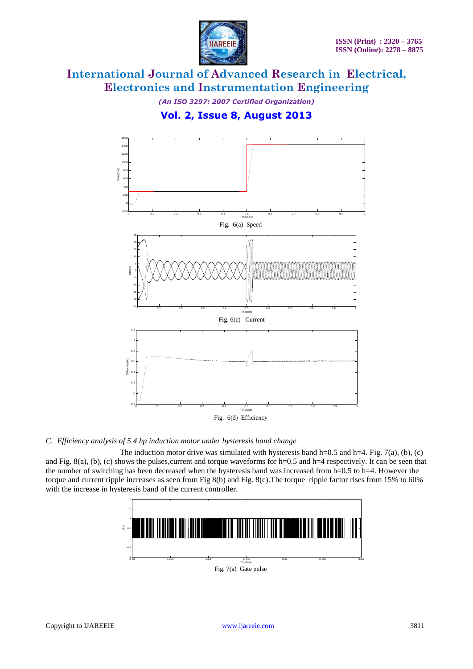

*(An ISO 3297: 2007 Certified Organization)*

**Vol. 2, Issue 8, August 2013**



#### *C. Efficiency analysis of 5.4 hp induction motor under hysteresis band change*

The induction motor drive was simulated with hysteresis band h=0.5 and h=4. Fig. 7(a), (b), (c) and Fig.  $8(a)$ , (b), (c) shows the pulses,current and torque waveforms for h=0.5 and h=4 respectively. It can be seen that the number of switching has been decreased when the hysteresis band was increased from h=0.5 to h=4. However the torque and current ripple increases as seen from Fig 8(b) and Fig. 8(c).The torque ripple factor rises from 15% to 60% with the increase in hysteresis band of the current controller.